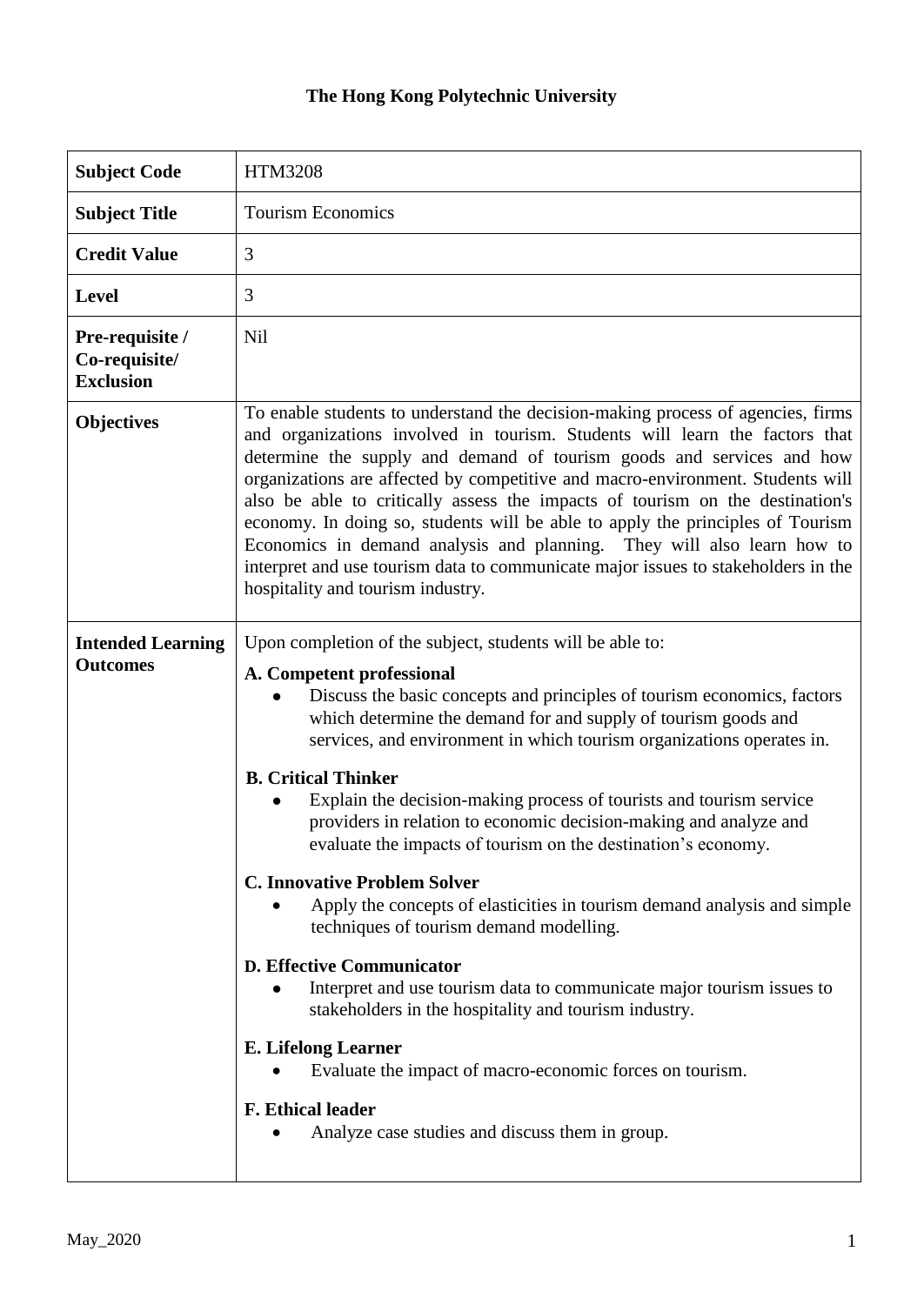## **The Hong Kong Polytechnic University**

| <b>Subject Code</b>                                  | <b>HTM3208</b>                                                                                                                                                                                                                                                                                                                                                                                                                                                                                                                                                                                                                                                                                                                                                                                                                                                                                                                                                                                                                                                       |
|------------------------------------------------------|----------------------------------------------------------------------------------------------------------------------------------------------------------------------------------------------------------------------------------------------------------------------------------------------------------------------------------------------------------------------------------------------------------------------------------------------------------------------------------------------------------------------------------------------------------------------------------------------------------------------------------------------------------------------------------------------------------------------------------------------------------------------------------------------------------------------------------------------------------------------------------------------------------------------------------------------------------------------------------------------------------------------------------------------------------------------|
| <b>Subject Title</b>                                 | <b>Tourism Economics</b>                                                                                                                                                                                                                                                                                                                                                                                                                                                                                                                                                                                                                                                                                                                                                                                                                                                                                                                                                                                                                                             |
| <b>Credit Value</b>                                  | 3                                                                                                                                                                                                                                                                                                                                                                                                                                                                                                                                                                                                                                                                                                                                                                                                                                                                                                                                                                                                                                                                    |
| <b>Level</b>                                         | 3                                                                                                                                                                                                                                                                                                                                                                                                                                                                                                                                                                                                                                                                                                                                                                                                                                                                                                                                                                                                                                                                    |
| Pre-requisite /<br>Co-requisite/<br><b>Exclusion</b> | <b>Nil</b>                                                                                                                                                                                                                                                                                                                                                                                                                                                                                                                                                                                                                                                                                                                                                                                                                                                                                                                                                                                                                                                           |
| <b>Objectives</b>                                    | To enable students to understand the decision-making process of agencies, firms<br>and organizations involved in tourism. Students will learn the factors that<br>determine the supply and demand of tourism goods and services and how<br>organizations are affected by competitive and macro-environment. Students will<br>also be able to critically assess the impacts of tourism on the destination's<br>economy. In doing so, students will be able to apply the principles of Tourism<br>Economics in demand analysis and planning. They will also learn how to<br>interpret and use tourism data to communicate major issues to stakeholders in the<br>hospitality and tourism industry.                                                                                                                                                                                                                                                                                                                                                                     |
| <b>Intended Learning</b><br><b>Outcomes</b>          | Upon completion of the subject, students will be able to:<br>A. Competent professional<br>Discuss the basic concepts and principles of tourism economics, factors<br>which determine the demand for and supply of tourism goods and<br>services, and environment in which tourism organizations operates in.<br><b>B. Critical Thinker</b><br>Explain the decision-making process of tourists and tourism service<br>providers in relation to economic decision-making and analyze and<br>evaluate the impacts of tourism on the destination's economy.<br><b>C. Innovative Problem Solver</b><br>Apply the concepts of elasticities in tourism demand analysis and simple<br>techniques of tourism demand modelling.<br><b>D. Effective Communicator</b><br>Interpret and use tourism data to communicate major tourism issues to<br>stakeholders in the hospitality and tourism industry.<br><b>E.</b> Lifelong Learner<br>Evaluate the impact of macro-economic forces on tourism.<br><b>F. Ethical leader</b><br>Analyze case studies and discuss them in group. |